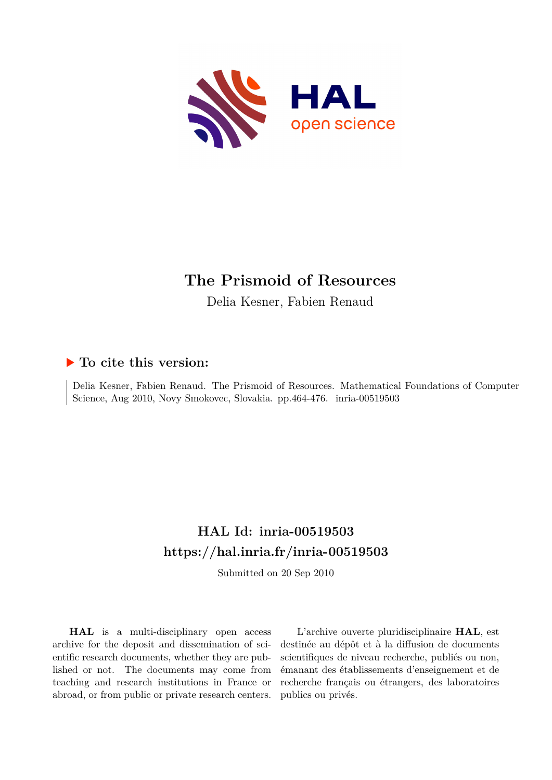

# **The Prismoid of Resources**

Delia Kesner, Fabien Renaud

## **To cite this version:**

Delia Kesner, Fabien Renaud. The Prismoid of Resources. Mathematical Foundations of Computer Science, Aug 2010, Novy Smokovec, Slovakia. pp.464-476. inria-00519503

## **HAL Id: inria-00519503 <https://hal.inria.fr/inria-00519503>**

Submitted on 20 Sep 2010

**HAL** is a multi-disciplinary open access archive for the deposit and dissemination of scientific research documents, whether they are published or not. The documents may come from teaching and research institutions in France or abroad, or from public or private research centers.

L'archive ouverte pluridisciplinaire **HAL**, est destinée au dépôt et à la diffusion de documents scientifiques de niveau recherche, publiés ou non, émanant des établissements d'enseignement et de recherche français ou étrangers, des laboratoires publics ou privés.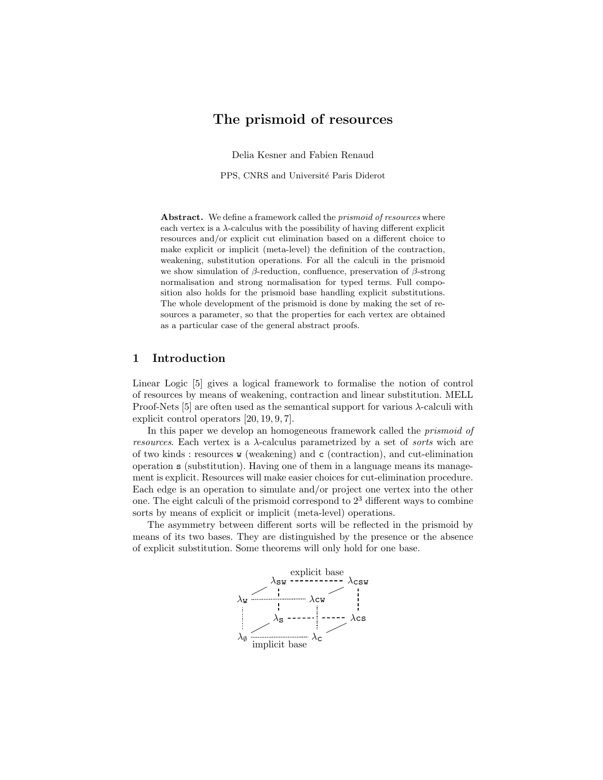### The prismoid of resources

Delia Kesner and Fabien Renaud

PPS, CNRS and Université Paris Diderot

Abstract. We define a framework called the *prismoid of resources* where each vertex is a  $\lambda$ -calculus with the possibility of having different explicit resources and/or explicit cut elimination based on a different choice to make explicit or implicit (meta-level) the definition of the contraction, weakening, substitution operations. For all the calculi in the prismoid we show simulation of  $β$ -reduction, confluence, preservation of  $β$ -strong normalisation and strong normalisation for typed terms. Full composition also holds for the prismoid base handling explicit substitutions. The whole development of the prismoid is done by making the set of resources a parameter, so that the properties for each vertex are obtained as a particular case of the general abstract proofs.

### 1 Introduction

Linear Logic [5] gives a logical framework to formalise the notion of control of resources by means of weakening, contraction and linear substitution. MELL Proof-Nets [5] are often used as the semantical support for various  $\lambda$ -calculi with explicit control operators [20, 19, 9, 7].

In this paper we develop an homogeneous framework called the *prismoid of resources*. Each vertex is a λ-calculus parametrized by a set of *sorts* wich are of two kinds : resources w (weakening) and c (contraction), and cut-elimination operation s (substitution). Having one of them in a language means its management is explicit. Resources will make easier choices for cut-elimination procedure. Each edge is an operation to simulate and/or project one vertex into the other one. The eight calculi of the prismoid correspond to  $2<sup>3</sup>$  different ways to combine sorts by means of explicit or implicit (meta-level) operations.

The asymmetry between different sorts will be reflected in the prismoid by means of its two bases. They are distinguished by the presence or the absence of explicit substitution. Some theorems will only hold for one base.

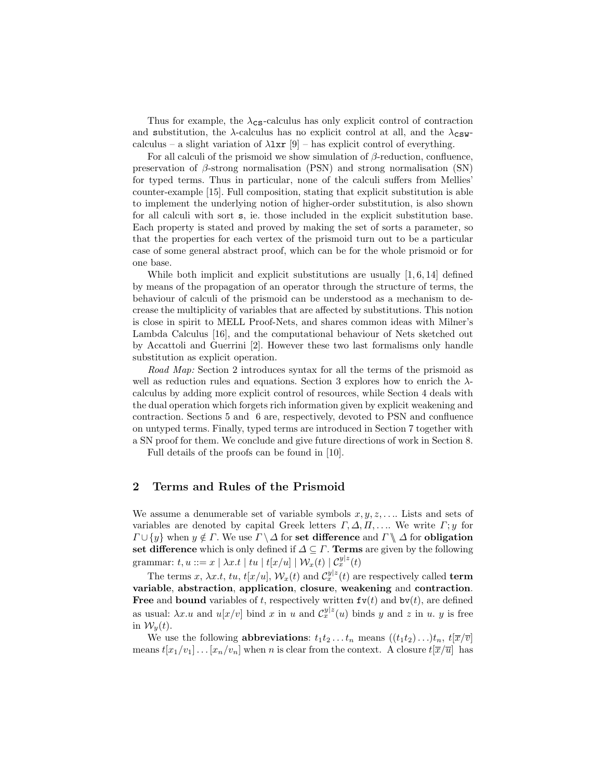Thus for example, the  $\lambda_{\text{CS}}$ -calculus has only explicit control of contraction and substitution, the  $\lambda$ -calculus has no explicit control at all, and the  $\lambda$ <sub>CSW</sub>calculus – a slight variation of  $\lambda \text{lxr}$  [9] – has explicit control of everything.

For all calculi of the prismoid we show simulation of  $\beta$ -reduction, confluence, preservation of  $\beta$ -strong normalisation (PSN) and strong normalisation (SN) for typed terms. Thus in particular, none of the calculi suffers from Mellies' counter-example [15]. Full composition, stating that explicit substitution is able to implement the underlying notion of higher-order substitution, is also shown for all calculi with sort s, ie. those included in the explicit substitution base. Each property is stated and proved by making the set of sorts a parameter, so that the properties for each vertex of the prismoid turn out to be a particular case of some general abstract proof, which can be for the whole prismoid or for one base.

While both implicit and explicit substitutions are usually  $[1, 6, 14]$  defined by means of the propagation of an operator through the structure of terms, the behaviour of calculi of the prismoid can be understood as a mechanism to decrease the multiplicity of variables that are affected by substitutions. This notion is close in spirit to MELL Proof-Nets, and shares common ideas with Milner's Lambda Calculus [16], and the computational behaviour of Nets sketched out by Accattoli and Guerrini [2]. However these two last formalisms only handle substitution as explicit operation.

*Road Map:* Section 2 introduces syntax for all the terms of the prismoid as well as reduction rules and equations. Section 3 explores how to enrich the  $\lambda$ calculus by adding more explicit control of resources, while Section 4 deals with the dual operation which forgets rich information given by explicit weakening and contraction. Sections 5 and 6 are, respectively, devoted to PSN and confluence on untyped terms. Finally, typed terms are introduced in Section 7 together with a SN proof for them. We conclude and give future directions of work in Section 8.

Full details of the proofs can be found in [10].

### 2 Terms and Rules of the Prismoid

We assume a denumerable set of variable symbols  $x, y, z, \ldots$  Lists and sets of variables are denoted by capital Greek letters  $\Gamma, \Delta, \Pi, \ldots$  We write  $\Gamma; y$  for  $\Gamma \cup \{y\}$  when  $y \notin \Gamma$ . We use  $\Gamma \setminus \Delta$  for set difference and  $\Gamma \setminus \Delta$  for obligation set difference which is only defined if  $\Delta \subseteq \Gamma$ . Terms are given by the following grammar:  $t,u ::= x \mid \lambda x.t \mid tu \mid t[x/u] \mid \mathcal{W}_x(t) \mid \mathcal{C}_x^{y|z}(t)$ 

The terms  $x, \lambda x.t, tu, t[x/u], \mathcal{W}_x(t)$  and  $\mathcal{C}_x^{y|z}(t)$  are respectively called **term** variable, abstraction, application, closure, weakening and contraction. **Free and bound variables of t, respectively written**  $f(v(t))$  **and**  $bv(t)$ **, are defined** as usual:  $\lambda x.u$  and  $u[x/v]$  bind x in u and  $\mathcal{C}_x^{y|z}(u)$  binds y and z in u. y is free in  $\mathcal{W}_y(t)$ .

We use the following **abbreviations**:  $t_1t_2 \tldots t_n$  means  $((t_1t_2) \tldots) t_n$ ,  $t[\overline{x}/\overline{v}]$ means  $t[x_1/v_1] \dots [x_n/v_n]$  when n is clear from the context. A closure  $t[\overline{x}/\overline{u}]$  has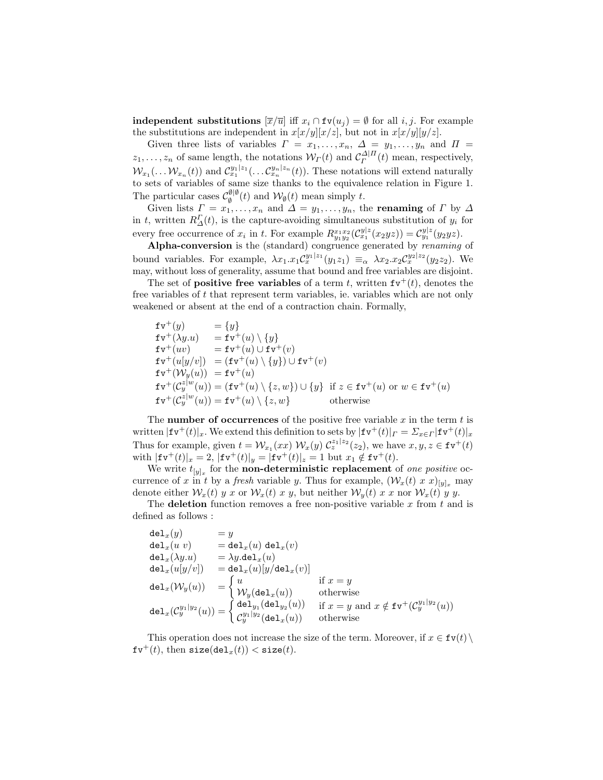**independent substitutions**  $[\overline{x}/\overline{u}]$  iff  $x_i \cap \textbf{fv}(u_j) = \emptyset$  for all *i*, *j*. For example the substitutions are independent in  $x[x/y][x/z]$ , but not in  $x[x/y][y/z]$ .

Given three lists of variables  $\Gamma = x_1, \ldots, x_n, \Delta = y_1, \ldots, y_n$  and  $\Pi =$  $z_1, \ldots, z_n$  of same length, the notations  $W_{\Gamma}(t)$  and  $C_{\Gamma}^{\Delta|\Pi}(t)$  mean, respectively,  $W_{x_1}(\ldots W_{x_n}(t))$  and  $\mathcal{C}_{x_1}^{y_1|z_1}(\ldots \mathcal{C}_{x_n}^{y_n|z_n}(t))$ . These notations will extend naturally to sets of variables of same size thanks to the equivalence relation in Figure 1. The particular cases  $\mathcal{C}_{\alpha}^{\emptyset|\emptyset}$  $\mathcal{W}_{\emptyset}(t)$  and  $\mathcal{W}_{\emptyset}(t)$  mean simply t.

Given lists  $\Gamma = x_1, \ldots, x_n$  and  $\Delta = y_1, \ldots, y_n$ , the **renaming** of  $\Gamma$  by  $\Delta$ in t, written  $R_{\Delta}^{\Gamma}(t)$ , is the capture-avoiding simultaneous substitution of  $y_i$  for every free occurrence of  $x_i$  in t. For example  $R_{y_1y_2}^{x_1x_2}(\mathcal{C}_{x_1}^{y|z}(x_2yz)) = \mathcal{C}_{y_1}^{y|z}(y_2yz)$ .

Alpha-conversion is the (standard) congruence generated by *renaming* of bound variables. For example,  $\lambda x_1.x_1 \mathcal{C}^{y_1|z_1}_x(y_1z_1) \equiv_\alpha \lambda x_2.x_2 \mathcal{C}^{y_2|z_2}_x(y_2z_2)$ . We may, without loss of generality, assume that bound and free variables are disjoint.

The set of **positive free variables** of a term t, written  $f v^+(t)$ , denotes the free variables of t that represent term variables, ie. variables which are not only weakened or absent at the end of a contraction chain. Formally,

 $f v^+(y) = \{y\}$  $f \mathsf{v}^+(\lambda y.u) = f \mathsf{v}^+(u) \setminus \{y\}$  $f \mathsf{v}^+(uv) = \mathsf{f} \mathsf{v}^+(u) \cup \mathsf{f} \mathsf{v}^+(v)$  $f \mathfrak{v}^+(u[y/v]) = (f \mathfrak{v}^+(u) \setminus \{y\}) \cup f \mathfrak{v}^+(v)$  $f \mathfrak{v}^+(\mathcal{W}_y(u)) = f \mathfrak{v}^+(u)$  $f \mathfrak{v}^{\dagger}(\mathcal{C}_y^{z|w}(u)) = (f \mathfrak{v}^{\dagger}(u) \setminus \{z,w\}) \cup \{y\}$  if  $z \in f \mathfrak{v}^{\dagger}(u)$  or  $w \in f \mathfrak{v}^{\dagger}(u)$  $f \mathfrak{v}^+ (\mathcal{C}_y^{z|w}(u)) = f \mathfrak{v}^+(u) \setminus \{z,w\}$  otherwise

The **number of occurrences** of the positive free variable x in the term t is written  $|\mathbf{f} \mathbf{v}^+(t)|_x$ . We extend this definition to sets by  $|\mathbf{f} \mathbf{v}^+(t)|_r = \sum_{x \in \Gamma} |\mathbf{f} \mathbf{v}^+(t)|_x$ Thus for example, given  $t = \mathcal{W}_{x_1}(xx) \mathcal{W}_x(y) \mathcal{C}_z^{z_1|z_2}(z_2)$ , we have  $x, y, z \in \text{fv}^+(t)$ with  $|\mathbf{f} \mathbf{v}^{+}(t)|_{x} = 2$ ,  $|\mathbf{f} \mathbf{v}^{+}(t)|_{y} = |\mathbf{f} \mathbf{v}^{+}(t)|_{z} = 1$  but  $x_{1} \notin \mathbf{f} \mathbf{v}^{+}(t)$ .

We write  $t_{[y]_x}$  for the **non-deterministic replacement** of *one positive* occurrence of x in t by a *fresh* variable y. Thus for example,  $(\mathcal{W}_x(t) \times x)_{[y]_x}$  may denote either  $\mathcal{W}_x(t)$  y x or  $\mathcal{W}_x(t)$  x y, but neither  $\mathcal{W}_y(t)$  x x nor  $\mathcal{W}_x(t)$  y y.

The deletion function removes a free non-positive variable x from t and is defined as follows :

$$
\begin{array}{lll} \displaystyle \text{del}_x(y) & = y \\ \displaystyle \text{del}_x(u\ v) & = \text{del}_x(u)\ \text{del}_x(x) \\ \displaystyle \text{del}_x(\lambda y.u) & = \lambda y.\text{del}_x(u) \\ \displaystyle \text{del}_x(u[y/v]) & = \text{del}_x(u)[y/\text{del}_x(v)] \\ \displaystyle \text{del}_x(\mathcal{W}_y(u)) & = \begin{cases} u & \text{if } x=y \\ \mathcal{W}_y(\text{del}_x(u)) & \text{otherwise} \end{cases} \\ \displaystyle \text{del}_x(\mathcal{C}_y^{y_1|y_2}(u)) = \begin{cases} \text{del}_{y_1}(\text{del}_{y_2}(u)) & \text{if } x=y \text{ and } x\notin \text{fv}^+(\mathcal{C}_y^{y_1|y_2}(u)) \\ \mathcal{C}_y^{y_1|y_2}(\text{del}_x(u)) & \text{otherwise} \end{cases} \end{array}
$$

This operation does not increase the size of the term. Moreover, if  $x \in \text{fv}(t) \setminus$  $f v^+(t)$ , then  $size(det_x(t)) < size(t)$ .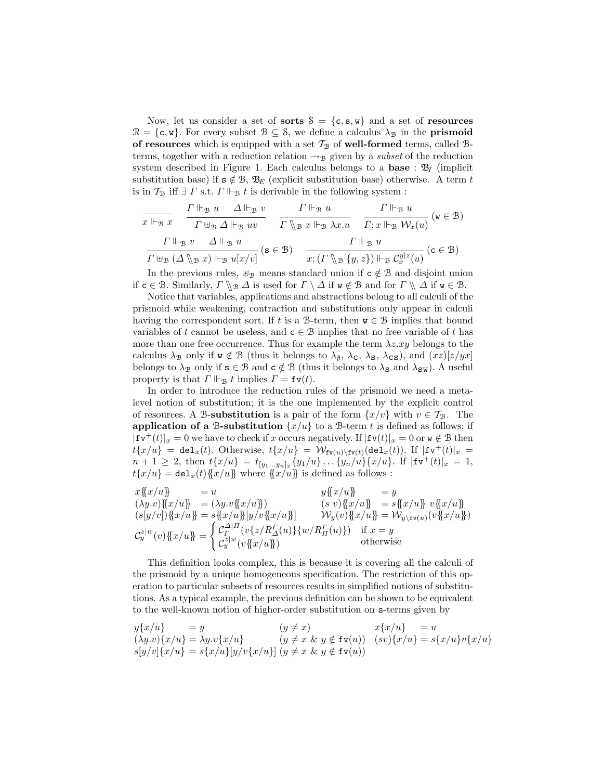Now, let us consider a set of **sorts**  $S = \{c, s, w\}$  and a set of **resources**  $\mathcal{R} = \{\mathsf{c}, \mathsf{w}\}.$  For every subset  $\mathcal{B} \subseteq \mathcal{S}$ , we define a calculus  $\lambda_{\mathcal{B}}$  in the **prismoid** of resources which is equipped with a set  $\mathcal{T}_{\mathcal{B}}$  of well-formed terms, called Bterms, together with a reduction relation  $\rightarrow_B$  given by a *subset* of the reduction system described in Figure 1. Each calculus belongs to a **base** :  $\mathfrak{B}_I$  (implicit substitution base) if  $s \notin \mathcal{B}$ ,  $\mathcal{B}_E$  (explicit substitution base) otherwise. A term t is in  $\mathcal{T}_{\mathcal{B}}$  iff  $\exists~\varGamma$  s.t.  $\varGamma\Vdash _{\mathcal{B}}t$  is derivable in the following system :

$$
\frac{\Gamma \Vdash_{\mathcal{B}} x}{\Gamma \Vdash_{\mathcal{B}} x} \quad \frac{\Gamma \Vdash_{\mathcal{B}} u}{\Gamma \uplus_{\mathcal{B}} \Delta \Vdash_{\mathcal{B}} uv} \quad \frac{\Gamma \Vdash_{\mathcal{B}} u}{\Gamma \setminus_{\mathcal{B}} x \Vdash_{\mathcal{B}} \lambda x.u} \quad \frac{\Gamma \Vdash_{\mathcal{B}} u}{\Gamma; x \Vdash_{\mathcal{B}} \mathcal{W}_x(u)} \quad (\mathbf{w} \in \mathcal{B})
$$
\n
$$
\frac{\Gamma \Vdash_{\mathcal{B}} v}{\Gamma \uplus_{\mathcal{B}} (\Delta \setminus_{\mathcal{B}} x) \Vdash_{\mathcal{B}} u[x/v]} \quad (\mathbf{s} \in \mathcal{B}) \quad \frac{\Gamma \Vdash_{\mathcal{B}} u}{x; (\Gamma \setminus_{\mathcal{B}} \{y, z\}) \Vdash_{\mathcal{B}} C_x^{y|z}(u)} \quad (\mathbf{c} \in \mathcal{B})
$$

In the previous rules,  $\biguplus_{\mathcal{B}}$  means standard union if  $c \notin \mathcal{B}$  and disjoint union if  $c \in \mathcal{B}$ . Similarly,  $\Gamma \setminus \mathcal{B}$   $\Delta$  is used for  $\Gamma \setminus \Delta$  if  $w \notin \mathcal{B}$  and for  $\Gamma \setminus \Delta$  if  $w \in \mathcal{B}$ .

Notice that variables, applications and abstractions belong to all calculi of the prismoid while weakening, contraction and substitutions only appear in calculi having the correspondent sort. If t is a B-term, then  $w \in \mathcal{B}$  implies that bound variables of t cannot be useless, and  $c \in \mathcal{B}$  implies that no free variable of t has more than one free occurrence. Thus for example the term  $\lambda z.xy$  belongs to the calculus  $\lambda_B$  only if  $w \notin B$  (thus it belongs to  $\lambda_{\emptyset}$ ,  $\lambda_c$ ,  $\lambda_s$ ,  $\lambda_{cs}$ ), and  $(xz)[z/yz]$ belongs to  $\lambda_B$  only if  $s \in \mathcal{B}$  and  $c \notin \mathcal{B}$  (thus it belongs to  $\lambda_S$  and  $\lambda_{SW}$ ). A useful property is that  $\Gamma \Vdash_{\mathcal{B}} t$  implies  $\Gamma = \texttt{fv}(t)$ .

In order to introduce the reduction rules of the prismoid we need a metalevel notion of substitution; it is the one implemented by the explicit control of resources. A B-substitution is a pair of the form  $\{x/v\}$  with  $v \in \mathcal{T}_{\mathcal{B}}$ . The application of a B-substitution  $\{x/u\}$  to a B-term t is defined as follows: if  $|\mathbf{f} \mathbf{v}^+(t)|_x = 0$  we have to check if x occurs negatively. If  $|\mathbf{f} \mathbf{v}(t)|_x = 0$  or  $\mathbf{w} \notin \mathcal{B}$  then  $t\{x/u\}$  = del<sub>x</sub>(t). Otherwise,  $t\{x/u\}$  =  $\mathcal{W}_{f(v(u)\setminus f(v(t))}(du)$ . If  $|f(v^+(t)|_x$  =  $n+1 \geq 2$ , then  $t\{x/u\} = t_{[y_1...y_n]_x}\{y_1/u\} \dots \{y_n/u\}\{x/u\}$ . If  $|\text{fv}^+(t)|_x = 1$ ,  $t\{x/u\} = \texttt{del}_x(t)\{x/u\}$  where  $\{x/u\}$  is defined as follows :

 $x\{x/u\}$  = u  $y\{x/u\}$  = y  $(\lambda y.v) \{ \{x/u\} = (\lambda y.v \{ \{x/u\})$  (s v) $\{ \{x/u\} = s \{ \{x/u\} \} v \{ \{x/u\} \}$  $(s[y/v])\{x/u\} = s\{x/u\}[y/v\{x/u\}]$   $W_y(v)\{x/u\} = W_{y\setminus f\mathbf{v}(u)}(v\{x/u\})$  $\mathcal{C}_y^{z|w}(v) \mathopen{\{\!\{} x/u\mathclose{\}\!\}} =$  $\int C^{\Delta|H}_{\Gamma}(v\{z/R^{\Gamma}_{\Delta}(u)\}\{w/R^{\Gamma}_{H}(u)\})$  $\mathcal{C}_y^{z|w}(v\{\!\{x/u\}\!\})$ if  $x = y$ otherwise

This definition looks complex, this is because it is covering all the calculi of the prismoid by a unique homogeneous specification. The restriction of this operation to particular subsets of resources results in simplified notions of substitutions. As a typical example, the previous definition can be shown to be equivalent to the well-known notion of higher-order substitution on s-terms given by

$$
y\{x/u\} = y \qquad (y \neq x) \qquad x\{x/u\} = u
$$
  
\n
$$
(\lambda y.v)\{x/u\} = \lambda y.v\{x/u\} \qquad (y \neq x \& y \notin \text{fv}(u)) \quad (sv)\{x/u\} = s\{x/u\}v\{x/u\}
$$
  
\n
$$
s[y/v]\{x/u\} = s\{x/u\}[y/v\{x/u\}] \quad (y \neq x \& y \notin \text{fv}(u))
$$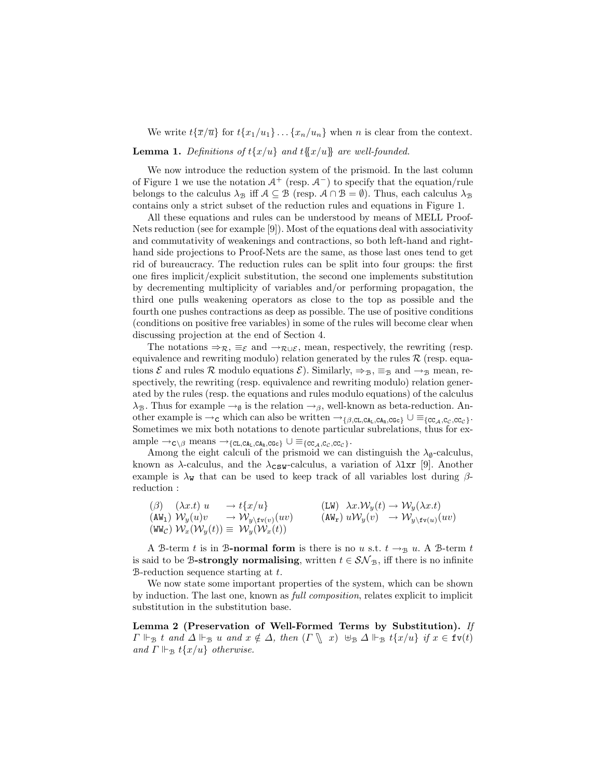We write  $t\{\overline{x}/\overline{u}\}$  for  $t\{x_1/u_1\} \ldots \{x_n/u_n\}$  when n is clear from the context. **Lemma 1.** Definitions of  $t\{x/u\}$  and  $t\{x/u\}$  are well-founded.

We now introduce the reduction system of the prismoid. In the last column of Figure 1 we use the notation  $A^+$  (resp.  $A^-$ ) to specify that the equation/rule belongs to the calculus  $\lambda_{\mathcal{B}}$  iff  $\mathcal{A} \subseteq \mathcal{B}$  (resp.  $\mathcal{A} \cap \mathcal{B} = \emptyset$ ). Thus, each calculus  $\lambda_{\mathcal{B}}$ contains only a strict subset of the reduction rules and equations in Figure 1.

All these equations and rules can be understood by means of MELL Proof-Nets reduction (see for example [9]). Most of the equations deal with associativity and commutativity of weakenings and contractions, so both left-hand and righthand side projections to Proof-Nets are the same, as those last ones tend to get rid of bureaucracy. The reduction rules can be split into four groups: the first one fires implicit/explicit substitution, the second one implements substitution by decrementing multiplicity of variables and/or performing propagation, the third one pulls weakening operators as close to the top as possible and the fourth one pushes contractions as deep as possible. The use of positive conditions (conditions on positive free variables) in some of the rules will become clear when discussing projection at the end of Section 4.

The notations  $\Rightarrow_{\mathcal{R}} \equiv_{\mathcal{E}}$  and  $\rightarrow_{\mathcal{R}\cup\mathcal{E}}$ , mean, respectively, the rewriting (resp. equivalence and rewriting modulo) relation generated by the rules  $\mathcal R$  (resp. equations  $\mathcal E$  and rules R modulo equations  $\mathcal E$ ). Similarly,  $\Rightarrow_{\mathcal B} \equiv_{\mathcal B}$  and  $\rightarrow_{\mathcal B}$  mean, respectively, the rewriting (resp. equivalence and rewriting modulo) relation generated by the rules (resp. the equations and rules modulo equations) of the calculus  $\lambda_{\mathcal{B}}$ . Thus for example  $\rightarrow_{\emptyset}$  is the relation  $\rightarrow_{\beta}$ , well-known as beta-reduction. Another example is  $\rightarrow_C$  which can also be written  $\rightarrow_{\{\beta, CL, CA_L, CA_R, CG_C\}} \cup \equiv_{\{CC_A, C_C, CC_C\}}$ . Sometimes we mix both notations to denote particular subrelations, thus for ex- $\text{ample} \rightarrow_{\mathsf{C}\setminus\beta} \text{means} \rightarrow_{\{\text{CL},\text{CA}_{\text{L}},\text{C}\text{Ac}_{\text{R}}\}} \cup \equiv_{\{ \text{CC}_{\mathcal{A}},\text{C}_{\mathcal{C}},\text{CC}_{\mathcal{C}} \}}.$ 

Among the eight calculi of the prismoid we can distinguish the  $\lambda_{\emptyset}$ -calculus, known as  $\lambda$ -calculus, and the  $\lambda_{\text{CSW}}$ -calculus, a variation of  $\lambda \text{lxr}$  [9]. Another example is  $\lambda_{\mathbf{W}}$  that can be used to keep track of all variables lost during  $\beta$ reduction :

$$
\begin{array}{ll}\n(\beta) & (\lambda x.t) \ u & \to t\{x/u\} & (\text{LW}) \ \lambda x.\mathcal{W}_y(t) \to \mathcal{W}_y(\lambda x.t) \\
(\text{AW}_1) \ \mathcal{W}_y(u)v & \to \mathcal{W}_{y\setminus \text{fv}(v)}(uv) & (\text{AW}_r) \ u\mathcal{W}_y(v) & \to \mathcal{W}_{y\setminus \text{fv}(u)}(uv) \\
(\text{WW}_c) \ \mathcal{W}_x(\mathcal{W}_y(t)) \equiv \ \mathcal{W}_y(\mathcal{W}_x(t))\n\end{array}
$$

A B-term t is in B-normal form is there is no u s.t.  $t \rightarrow_B u$ . A B-term t is said to be B-strongly normalising, written  $t \in S\mathcal{N}_B$ , iff there is no infinite  $B$ -reduction sequence starting at t.

We now state some important properties of the system, which can be shown by induction. The last one, known as *full composition*, relates explicit to implicit substitution in the substitution base.

Lemma 2 (Preservation of Well-Formed Terms by Substitution). *If*  $\Gamma \Vdash_{\mathcal{B}} t$  and  $\Delta \Vdash_{\mathcal{B}} u$  and  $x \notin \Delta$ , then  $(\Gamma \setminus x) \cup_{\mathcal{B}} \Delta \Vdash_{\mathcal{B}} t\{x/u\}$  if  $x \in \text{fv}(t)$ *and*  $\Gamma \Vdash_{\mathcal{B}} t\{x/u\}$  *otherwise.*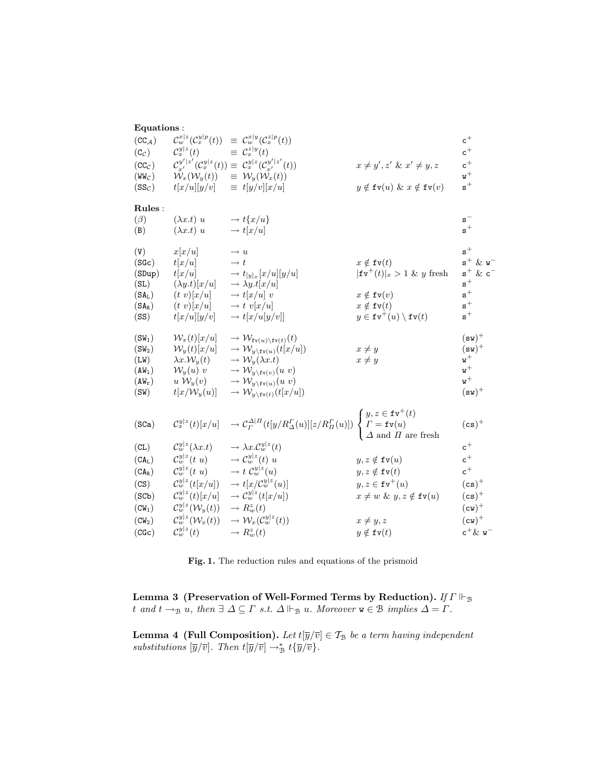| Equations:           |                                               |                                                                                                                                                                                                                                                                          |                                                      |                                     |
|----------------------|-----------------------------------------------|--------------------------------------------------------------------------------------------------------------------------------------------------------------------------------------------------------------------------------------------------------------------------|------------------------------------------------------|-------------------------------------|
| $(CC_{\mathcal{A}})$ | $\mathcal{C}^{x z}_w(\mathcal{C}^{y p}_x(t))$ | $\equiv \mathcal{C}_w^{x y}(\mathcal{C}_x^{z p}(t))$                                                                                                                                                                                                                     |                                                      | $\mathtt{c}^+$                      |
| $(c_{\mathcal{C}})$  | $\mathcal{C}_x^{y z}(t)$                      | $\equiv \mathcal{C}_x^{z y}(t)$                                                                                                                                                                                                                                          |                                                      | $\mathtt{c}^+$                      |
| (CC <sub>C</sub> )   |                                               | $\mathcal{C}_{x'}^{y' z'}(\mathcal{C}_x^{y z}(t)) \equiv \mathcal{C}_x^{y z}(\mathcal{C}_{x'}^{y' z'}(t))$                                                                                                                                                               | $x \neq y', z' \& x' \neq y, z$                      | $\mathtt{c}^+$                      |
| $(WW_C)$             | $\mathcal{W}_x(\mathcal{W}_y(t))$             | $\equiv \mathcal{W}_y(\mathcal{W}_x(t))$                                                                                                                                                                                                                                 |                                                      | $\mathtt{w}^+$                      |
| $(SS_C)$             | t[x/u][y/v]                                   | $\equiv t[y/v][x/u]$                                                                                                                                                                                                                                                     | $y \notin \texttt{fv}(u) \& x \notin \texttt{fv}(v)$ | $\mathtt{s}^+$                      |
| Rules:               |                                               |                                                                                                                                                                                                                                                                          |                                                      |                                     |
| $(\beta)$            | $(\lambda x.t) u$                             | $\rightarrow t\{x/u\}$                                                                                                                                                                                                                                                   |                                                      | $\mathsf{s}^-$                      |
| (B)                  | $(\lambda x.t) u$                             | $\rightarrow t[x/u]$                                                                                                                                                                                                                                                     |                                                      | $\mathtt{s}^+$                      |
|                      |                                               |                                                                                                                                                                                                                                                                          |                                                      | $\mathbf{s}^+$                      |
| (V)<br>(SGc)         | x[x/u]                                        | $\rightarrow u$<br>$\rightarrow t$                                                                                                                                                                                                                                       | $x \notin \texttt{fv}(t)$                            | $s^+$ & $v^-$                       |
| (SDup)               | t[x/u]<br>t[x/u]                              | $\rightarrow t_{[y]_x}[x/u][y/u]$                                                                                                                                                                                                                                        | $ \texttt{fv}^{+}(t) _x > 1 \& y$ fresh              | $\mathtt{s}^{+}$ & $\mathtt{c}^{-}$ |
| (SL)                 | $(\lambda y.t)[x/u]$                          | $\rightarrow \lambda y.t[x/u]$                                                                                                                                                                                                                                           |                                                      | $\mathbf{s}^+$                      |
| $(SA_L)$             | $(t\ v)[x/u]$                                 | $\rightarrow t[x/u]$ v                                                                                                                                                                                                                                                   | $x \notin \texttt{fv}(v)$                            | $\mathtt{s}^+$                      |
| $(SA_R)$             | $(t\ v)[x/u]$                                 | $\rightarrow t \ v[x/u]$                                                                                                                                                                                                                                                 | $x \notin \texttt{fv}(t)$                            | $\tt s^+$                           |
| (SS)                 | t[x/u][y/v]                                   | $\rightarrow t[x/u[y/v]]$                                                                                                                                                                                                                                                | $y \in \texttt{fv}^+(u) \setminus \texttt{fv}(t)$    | $\tt s^+$                           |
| $(SW_1)$             | $\mathcal{W}_x(t)[x/u]$                       | $\rightarrow$ $\mathcal{W}_{\text{fv}(u)\setminus \text{fv}(t)}(t)$                                                                                                                                                                                                      |                                                      | $(sw)^+$                            |
| (SW <sub>2</sub> )   | $\mathcal{W}_y(t)[x/u]$                       | $\rightarrow$ $\mathcal{W}_{y \setminus \text{fv}(u)}(t[x/u])$                                                                                                                                                                                                           | $x \neq y$                                           | $(sv)^+$                            |
| (LW)                 | $\lambda x. \mathcal{W}_y(t)$                 | $\rightarrow$ $\mathcal{W}_y(\lambda x.t)$                                                                                                                                                                                                                               | $x \neq y$                                           | $\mathtt{w}^+$                      |
| $(AW_1)$             | $\mathcal{W}_y(u)$ v                          | $\rightarrow W_{y\setminus \text{fv}(v)}(u\ v)$                                                                                                                                                                                                                          |                                                      | $\mathtt{w}^+$                      |
| $(AW_r)$             | $u \mathcal{W}_y(v)$                          | $\rightarrow$ $\mathcal{W}_{y \setminus \text{fv}(u)}(u \ v)$                                                                                                                                                                                                            |                                                      | $\mathtt{w}^+$                      |
| (SW)                 | $t[x/\mathcal{W}_y(u)]$                       | $\rightarrow$ $\mathcal{W}_{y \setminus \texttt{fv}(t)}(t[x/u])$                                                                                                                                                                                                         |                                                      | $(sv)^+$                            |
|                      |                                               |                                                                                                                                                                                                                                                                          |                                                      |                                     |
| (SCa)                |                                               |                                                                                                                                                                                                                                                                          |                                                      | $(cs)^+$                            |
|                      |                                               | $\mathcal{C}^{y z}_x(t)[x/u] \quad \to \mathcal{C}^{\Delta H}_\varGamma(t[y/R^{\varGamma}_\varDelta(u)][z/R^{\varGamma}_\varPi(u)]) \begin{cases} y,z \in \mathtt{fv}^+(t) \\ \varGamma = \mathtt{fv}(u) \\ \varDelta \text{ and } \varPi \text{ are fresh} \end{cases}$ |                                                      |                                     |
| CL)                  | $\mathcal{C}^{y z}_w(\lambda x.t)$            | $\rightarrow \lambda x. \mathcal{C}_w^{y z}(t)$                                                                                                                                                                                                                          |                                                      | $\mathtt{c}^+$                      |
| $(CA_L)$             | $\mathcal{C}_w^{y z}(t u)$                    | $\rightarrow \mathcal{C}_w^{y z}(t)$ u                                                                                                                                                                                                                                   | $y, z \notin \texttt{fv}(u)$                         | $\mathtt{c}^+$                      |
| $(CA_R)$             | $\mathcal{C}_w^{y z}(t u)$                    | $\rightarrow t C_w^{y z}(u)$                                                                                                                                                                                                                                             | $y, z \notin \texttt{fv}(t)$                         | $\mathtt{c}^+$                      |
| (CS)                 | $\mathcal{C}_w^{y z}(t[x/u])$                 | $\rightarrow t[x/\mathcal{C}_w^{y z}(u)]$                                                                                                                                                                                                                                | $y, z \in \texttt{fv}^+(u)$                          | $(cs)^+$                            |
| (SCb)                | $\mathcal{C}_w^{y z}(t)[x/u]$                 | $\rightarrow \mathcal{C}_w^{y z}(t[x/u])$                                                                                                                                                                                                                                | $x \neq w \& y, z \notin \texttt{fv}(u)$             | $(cs)^+$                            |
| $(CW_1)$             | $\mathcal{C}_w^{y z}(\mathcal{W}_y(t))$       | $\rightarrow R_w^z(t)$                                                                                                                                                                                                                                                   |                                                      | $(cw)^+$                            |
| (CW <sub>2</sub> )   | $\mathcal{C}_w^{y z}(\mathcal{W}_x(t))$       | $\rightarrow \mathcal{W}_x(\mathcal{C}_w^{y z}(t))$                                                                                                                                                                                                                      | $x \neq y, z$                                        | $(cw)^+$                            |
| (CGc)                | $\mathcal{C}^{y z}_w(t)$                      | $\rightarrow R_w^z(t)$                                                                                                                                                                                                                                                   | $y \notin \texttt{fv}(t)$                            | $c^+\&$ $v^-$                       |

Fig. 1. The reduction rules and equations of the prismoid

Lemma 3 (Preservation of Well-Formed Terms by Reduction). *If*  $\Gamma \Vdash_{\mathcal{B}}$  $t$  and  $t \to_{\mathcal{B}} u$ , then  $\exists \Delta \subseteq \Gamma$  *s.t.*  $\Delta \Vdash_{\mathcal{B}} u$ . Moreover  $\mathsf{w} \in \mathcal{B}$  implies  $\Delta = \Gamma$ .

**Lemma 4 (Full Composition).** Let  $t[\overline{y}/\overline{v}] \in \mathcal{T}_{\mathcal{B}}$  be a term having independent *substitutions*  $[\overline{y}/\overline{v}]$ *. Then*  $t[\overline{y}/\overline{v}] \rightarrow_B^* t{\overline{y}/\overline{v}}$ *.*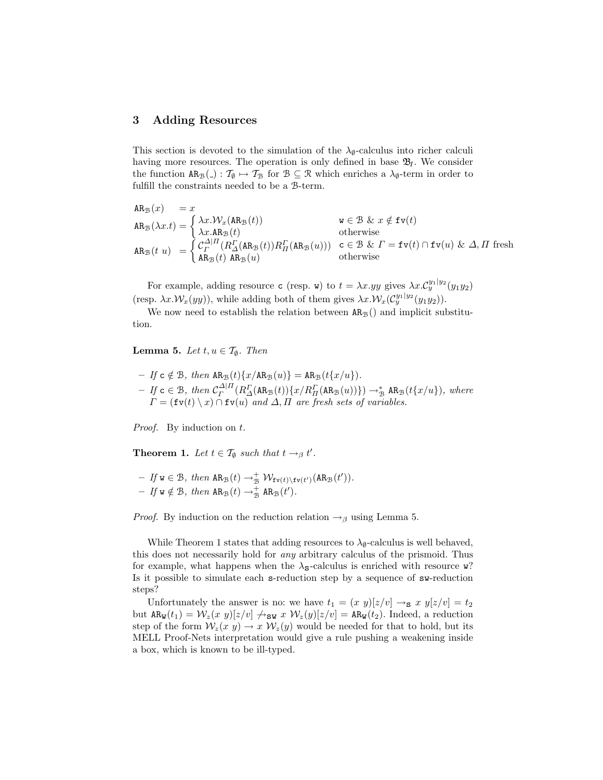### 3 Adding Resources

This section is devoted to the simulation of the  $\lambda_{\emptyset}$ -calculus into richer calculi having more resources. The operation is only defined in base  $\mathfrak{B}_I$ . We consider the function  $AR_B(.) : T_{\emptyset} \mapsto T_B$  for  $B \subseteq \mathcal{R}$  which enriches a  $\lambda_{\emptyset}$ -term in order to fulfill the constraints needed to be a B-term.

$$
AR_{\mathcal{B}}(x) = x
$$
  
\n
$$
AR_{\mathcal{B}}(\lambda x.t) =\begin{cases} \lambda x.\mathcal{W}_{x}(AR_{\mathcal{B}}(t)) & w \in \mathcal{B} \& x \notin \text{fv}(t) \\ \lambda x.AR_{\mathcal{B}}(t) & \text{otherwise} \end{cases}
$$
  
\n
$$
AR_{\mathcal{B}}(t u) =\begin{cases} C_{\Gamma}^{\Delta|I}(R_{\Delta}^{\Gamma}(AR_{\mathcal{B}}(t))R_{\Pi}^{\Gamma}(AR_{\mathcal{B}}(u))) & c \in \mathcal{B} \& T = \text{fv}(t) \cap \text{fv}(u) \& \Delta, \Pi \text{ fresh} \\ AR_{\mathcal{B}}(t) & \text{otherwise} \end{cases}
$$

For example, adding resource c (resp. w) to  $t = \lambda x.yy$  gives  $\lambda x. \mathcal{C}_y^{y_1|y_2}(y_1y_2)$ (resp.  $\lambda x. \mathcal{W}_x(yy)$ ), while adding both of them gives  $\lambda x. \mathcal{W}_x(\mathcal{C}_y^{y_1|y_2}(y_1y_2)).$ 

We now need to establish the relation between  $AR_B()$  and implicit substitution.

**Lemma 5.** *Let*  $t, u \in \mathcal{T}_{\emptyset}$ *. Then* 

- If 
$$
c \notin B
$$
, then  $AR_B(t)\{x/AR_B(u)\} = AR_B(t\{x/u\})$ .  
\n- If  $c \in B$ , then  $C_T^{\Delta|H}(R_{\Delta}^{\Gamma}(AR_B(t))\{x/R_{\Pi}^{\Gamma}(AR_B(u))\}) \rightarrow_B^* AR_B(t\{x/u\})$ , where  $\Gamma = (\text{fv}(t) \setminus x) \cap \text{fv}(u)$  and  $\Delta, \Pi$  are fresh sets of variables.

*Proof.* By induction on t.

**Theorem 1.** Let  $t \in \mathcal{T}_{\emptyset}$  such that  $t \to_{\beta} t'$ .

- If 
$$
\mathbf{w} \in \mathcal{B}
$$
, then  $\mathbf{AR}_{\mathcal{B}}(t) \to_{\mathcal{B}}^+ \mathcal{W}_{\mathbf{f}\mathbf{v}(t)\setminus \mathbf{f}\mathbf{v}(t')}(\mathbf{AR}_{\mathcal{B}}(t')).$   
- If  $\mathbf{w} \notin \mathcal{B}$ , then  $\mathbf{AR}_{\mathcal{B}}(t) \to_{\mathcal{B}}^+ \mathbf{AR}_{\mathcal{B}}(t').$ 

*Proof.* By induction on the reduction relation  $\rightarrow$ <sub>β</sub> using Lemma 5.

While Theorem 1 states that adding resources to  $\lambda_{\emptyset}$ -calculus is well behaved, this does not necessarily hold for *any* arbitrary calculus of the prismoid. Thus for example, what happens when the  $\lambda_{\mathbf{S}}$ -calculus is enriched with resource w? Is it possible to simulate each s-reduction step by a sequence of sw-reduction steps?

Unfortunately the answer is no: we have  $t_1 = (x \ y) [z/v] \rightarrow_S x \ y [z/v] = t_2$ but  $AR_w(t_1) = \mathcal{W}_z(x, y)[z/v] \nightharpoonup_{\text{SW}} x \mathcal{W}_z(y)[z/v] = AR_w(t_2)$ . Indeed, a reduction step of the form  $W_z(x, y) \to x W_z(y)$  would be needed for that to hold, but its MELL Proof-Nets interpretation would give a rule pushing a weakening inside a box, which is known to be ill-typed.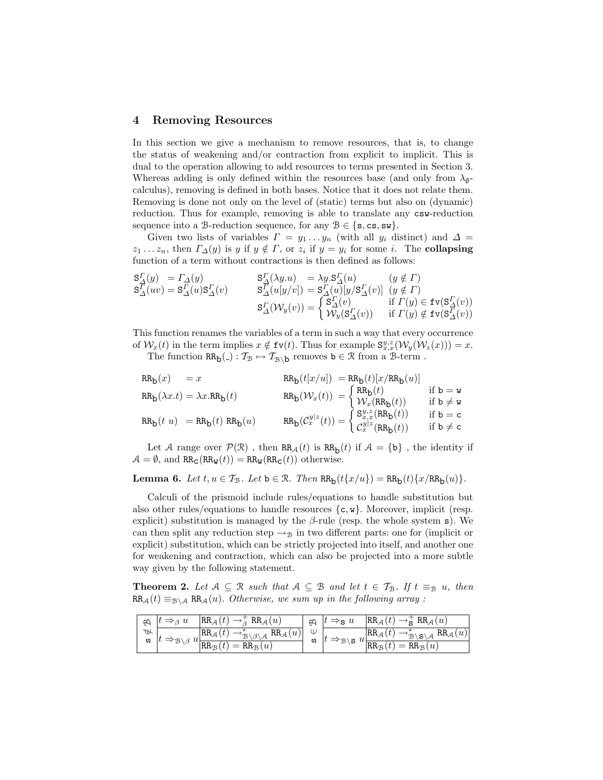### 4 Removing Resources

In this section we give a mechanism to remove resources, that is, to change the status of weakening and/or contraction from explicit to implicit. This is dual to the operation allowing to add resources to terms presented in Section 3. Whereas adding is only defined within the resources base (and only from  $\lambda_{\emptyset}$ calculus), removing is defined in both bases. Notice that it does not relate them. Removing is done not only on the level of (static) terms but also on (dynamic) reduction. Thus for example, removing is able to translate any  $csw$ -reduction sequence into a B-reduction sequence, for any  $B \in \{s, cs, sw\}.$ 

Given two lists of variables  $\Gamma = y_1 \dots y_n$  (with all  $y_i$  distinct) and  $\Delta =$  $z_1 \ldots z_n$ , then  $\Gamma_{\Delta}(y)$  is y if  $y \notin \Gamma$ , or  $z_i$  if  $y = y_i$  for some i. The **collapsing** function of a term without contractions is then defined as follows:

$$
\begin{array}{lll}\mathbf{S}_{\Delta}^{\varGamma}(y) & =\varGamma_{\Delta}(y) & \mathbf{S}_{\Delta}^{\varGamma}(\lambda y.u) & =\lambda y.\mathbf{S}_{\Delta}^{\varGamma}(u) & (y \notin \varGamma) \\
\mathbf{S}_{\Delta}^{\varGamma}(uv) & =\mathbf{S}_{\Delta}^{\varGamma}(u)\mathbf{S}_{\Delta}^{\varGamma}(v) & \mathbf{S}_{\Delta}^{\varGamma}(u[y/v]) & =\mathbf{S}_{\Delta}^{\varGamma}(u)[y/\mathbf{S}_{\Delta}^{\varGamma}(v)] & (y \notin \varGamma) \\
& & & & & \\
\mathbf{S}_{\Delta}^{\varGamma}(\mathcal{W}_{y}(v)) & =\begin{cases} \mathbf{S}_{\Delta}^{\varGamma}(v) & \text{if } \varGamma(y) \in \mathbf{fv}(\mathbf{S}_{\Delta}^{\varGamma}(v)) \\
\mathcal{W}_{y}(\mathbf{S}_{\Delta}^{\varGamma}(v)) & \text{if } \varGamma(y) \notin \mathbf{fv}(\mathbf{S}_{\Delta}^{\varGamma}(v))\n\end{cases}\n\end{array}
$$

This function renames the variables of a term in such a way that every occurrence of  $\mathcal{W}_x(t)$  in the term implies  $x \notin \text{fv}(t)$ . Thus for example  $\mathbf{S}_{x,x}^{y,z}(\mathcal{W}_y(\mathcal{W}_z(x))) = x$ .

The function  $RR_b(.) : \mathcal{T}_{\mathcal{B}} \mapsto \mathcal{T}_{\mathcal{B}\setminus b}$  removes  $b \in \mathcal{R}$  from a  $\mathcal{B}$ -term.

$$
\begin{array}{ll} \mbox{RR}_{\mathbf{b}}(x) &= x & \mbox{RR}_{\mathbf{b}}(t[x/u]) = \mbox{RR}_{\mathbf{b}}(t)[x/\mbox{RR}_{\mathbf{b}}(u)] \\ \mbox{RR}_{\mathbf{b}}(\lambda x.t) &= \lambda x.\mbox{RR}_{\mathbf{b}}(t) & \mbox{RR}_{\mathbf{b}}(\mathcal{W}_x(t)) = \begin{cases} \mbox{RR}_{\mathbf{b}}(t) \\ \mathcal{W}_x(\mbox{RR}_{\mathbf{b}}(t)) & \mbox{if $\mathbf{b} = \mathbf{w}$} \\ \mathcal{W}_x(\mbox{RR}_{\mathbf{b}}(t)) & \mbox{if $\mathbf{b} \neq \mathbf{w}$} \end{cases} \\ \mbox{RR}_{\mathbf{b}}(t|u) &= \mbox{RR}_{\mathbf{b}}(t) \mbox{RR}_{\mathbf{b}}(u) & \mbox{RR}_{\mathbf{b}}(\mathcal{C}_x^{y|z}(t)) = \begin{cases} \mbox{S}_{x,x}^{y,z}(\mbox{RR}_{\mathbf{b}}(t)) & \mbox{if $\mathbf{b} = \mathbf{c}$} \\ \mbox{C}_{x}^{y|z}(\mbox{RR}_{\mathbf{b}}(t)) & \mbox{if $\mathbf{b} \neq \mathbf{c}$} \end{cases} \end{array}
$$

Let A range over  $\mathcal{P}(\mathcal{R})$  , then  $RR_A(t)$  is  $RR_b(t)$  if  $\mathcal{A} = \{b\}$  , the identity if  $\mathcal{A} = \emptyset$ , and  $RR_{\mathbf{C}}(RR_{\mathbf{W}}(t)) = RR_{\mathbf{W}}(RR_{\mathbf{C}}(t))$  otherwise.

### Lemma 6. Let  $t, u \in \mathcal{T}_{\mathcal{B}}$ . Let  $b \in \mathcal{R}$ . Then  $RR_b(t\{x/u\}) = RR_b(t)\{x/RR_b(u)\}$ .

Calculi of the prismoid include rules/equations to handle substitution but also other rules/equations to handle resources  $\{c, w\}$ . Moreover, implicit (resp. explicit) substitution is managed by the  $\beta$ -rule (resp. the whole system s). We can then split any reduction step  $\rightarrow_B$  in two different parts: one for (implicit or explicit) substitution, which can be *s*trictly projected into itself, and another one for weakening and contraction, which can also be projected into a more subtle way given by the following statement.

**Theorem 2.** Let  $A \subseteq \mathcal{R}$  such that  $A \subseteq \mathcal{B}$  and let  $t \in \mathcal{T}_{\mathcal{B}}$ . If  $t \equiv_{\mathcal{B}} u$ , then  $RR_{\mathcal{A}}(t) \equiv_{\mathcal{B} \setminus \mathcal{A}} RR_{\mathcal{A}}(u)$ *. Otherwise, we sum up in the following array :* 

|              | $t \Rightarrow_{\beta} u$                       | $RR_{\mathcal{A}}(t) \rightarrow_{\beta}^{+} RR_{\mathcal{A}}(u)$                                                                        | $\epsilon$ | $t \Rightarrow S$ u | $ RR_{\mathcal{A}}(t)\rightarrow_{\mathbf{S}}^{+}RR_{\mathcal{A}}(u) $                                                                                                                                                                                                                          |
|--------------|-------------------------------------------------|------------------------------------------------------------------------------------------------------------------------------------------|------------|---------------------|-------------------------------------------------------------------------------------------------------------------------------------------------------------------------------------------------------------------------------------------------------------------------------------------------|
| $\ast$<br>UΩ | $ t \Rightarrow_{\mathcal{B}\setminus\beta} u $ | $\left \text{RR}_{\mathcal{A}}(t) \rightarrow_{\mathcal{B} \backslash \beta \backslash \mathcal{A}}^* \text{RR}_{\mathcal{A}}(u)\right $ |            |                     | $\biguplus_{\mathbf{a}}^{\mathbf{U}}\Bigg t \Rightarrow_{\mathcal{B}\backslash\mathbf{S}} u \frac{\mathsf{RR}_{\mathcal{A}}(t) \rightarrow_{\mathcal{B}\backslash\mathbf{S}\backslash\mathcal{A}}^* \mathsf{RR}_{\mathcal{A}}(u)}{\mathsf{RR}_{\mathcal{B}}(t) = \mathsf{RR}_{\mathcal{B}}(u)}$ |
|              |                                                 | $\mathbb{R}_{\mathcal{B}}(t) = \mathbb{R}\overline{\mathcal{B}_\mathcal{B}(u)}$                                                          |            |                     |                                                                                                                                                                                                                                                                                                 |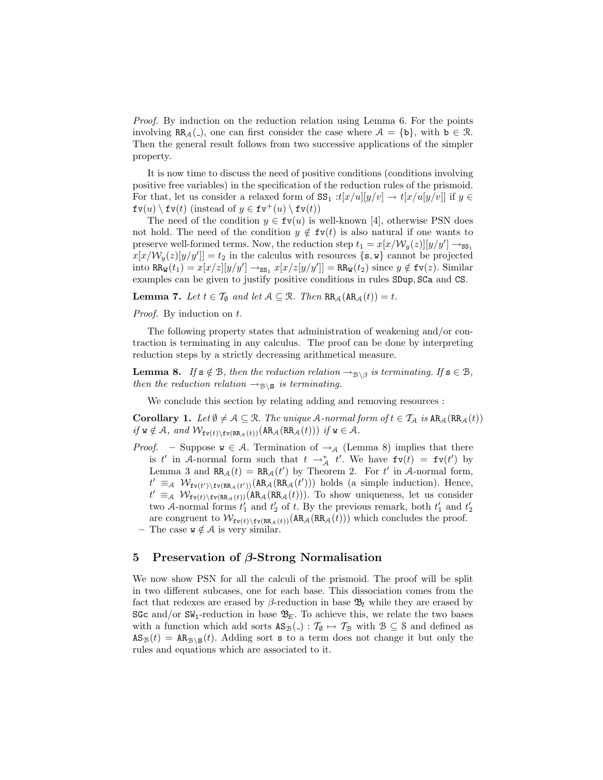*Proof.* By induction on the reduction relation using Lemma 6. For the points involving RR<sub>A</sub>(-), one can first consider the case where  $A = \{b\}$ , with  $b \in \mathcal{R}$ . Then the general result follows from two successive applications of the simpler property.

It is now time to discuss the need of positive conditions (conditions involving positive free variables) in the specification of the reduction rules of the prismoid. For that, let us consider a relaxed form of  $SS_1 : t[x/u][y/v] \to t[x/u[y/v]]$  if  $y \in$  $f(v(u) \setminus fv(t)$  (instead of  $y \in fv^+(u) \setminus fv(t)$ )

The need of the condition  $y \in \text{fv}(u)$  is well-known [4], otherwise PSN does not hold. The need of the condition  $y \notin \text{fv}(t)$  is also natural if one wants to preserve well-formed terms. Now, the reduction step  $t_1 = x[x/\mathcal{W}_y(z)][y/y'] \rightarrow_{ss_1}$  $x[x/\mathcal{W}_y(z)[y/y']]=t_2$  in the calculus with resources  $\{s, w\}$  cannot be projected into  $RR_w(t_1) = x[x/z][y/y'] \rightarrow_{ss_1} x[x/z[y/y']] = RR_w(t_2)$  since  $y \notin \text{fv}(z)$ . Similar examples can be given to justify positive conditions in rules SDup, SCa and CS.

**Lemma 7.** Let  $t \in \mathcal{T}_{\emptyset}$  and let  $\mathcal{A} \subseteq \mathcal{R}$ . Then  $RR_{\mathcal{A}}(AR_{\mathcal{A}}(t)) = t$ .

*Proof.* By induction on t.

The following property states that administration of weakening and/or contraction is terminating in any calculus. The proof can be done by interpreting reduction steps by a strictly decreasing arithmetical measure.

**Lemma 8.** *If*  $s \notin B$ *, then the reduction relation*  $\rightarrow_{B \setminus \beta}$  *is terminating. If*  $s \in B$ *, then the reduction relation*  $\rightarrow_{\mathcal{B}\setminus\mathbf{S}}$  *is terminating.* 

We conclude this section by relating adding and removing resources :

**Corollary 1.** Let  $\emptyset \neq A \subseteq \mathbb{R}$ . The unique A-normal form of  $t \in \mathcal{T}_A$  is  $AR_A(RR_A(t))$  $if \ w \notin A$ *, and*  $W_{\text{fv}(t) \setminus \text{fv}(RR_{\mathcal{A}}(t))}(AR_{\mathcal{A}}(RR_{\mathcal{A}}(t)))$  *if*  $w \in A$ *.* 

*Proof.* – Suppose  $w \in A$ . Termination of  $\rightarrow_A$  (Lemma 8) implies that there is t' in A-normal form such that  $t \to_{\mathcal{A}}^* t'$ . We have  $f v(t) = f v(t')$  by Lemma 3 and  $RR_A(t) = RR_A(t')$  by Theorem 2. For t' in A-normal form,  $t' \equiv_A \mathcal{W}_{\text{fv}(t')\setminus \text{fv}(\text{RR}_{\mathcal{A}}(t'))}(\text{AR}_{\mathcal{A}}(\text{RR}_{\mathcal{A}}(t')))$  holds (a simple induction). Hence,  $t' \equiv_A \mathcal{W}_{\text{fv}(t)\setminus \text{fv}(RR_A(t))}(AR_A(RR_A(t)))$ . To show uniqueness, let us consider two A-normal forms  $t'_1$  and  $t'_2$  of t. By the previous remark, both  $t'_1$  and  $t'_2$ are congruent to  $W_{f_{\mathbf{v}(t)}\setminus f_{\mathbf{v}(RR_A(t))}}(AR_A(RR_A(t)))$  which concludes the proof. The case  $w \notin A$  is very similar.

### 5 Preservation of β-Strong Normalisation

We now show PSN for all the calculi of the prismoid. The proof will be split in two different subcases, one for each base. This dissociation comes from the fact that redexes are erased by  $\beta$ -reduction in base  $\mathfrak{B}_I$  while they are erased by SGc and/or  $SW_1$ -reduction in base  $\mathfrak{B}_E$ . To achieve this, we relate the two bases with a function which add sorts  $AS_B(.) : T_{\emptyset} \mapsto T_B$  with  $B \subseteq S$  and defined as  $\text{AS}_{\mathcal{B}}(t) = \text{AR}_{\mathcal{B}\backslash \mathcal{S}}(t)$ . Adding sort s to a term does not change it but only the rules and equations which are associated to it.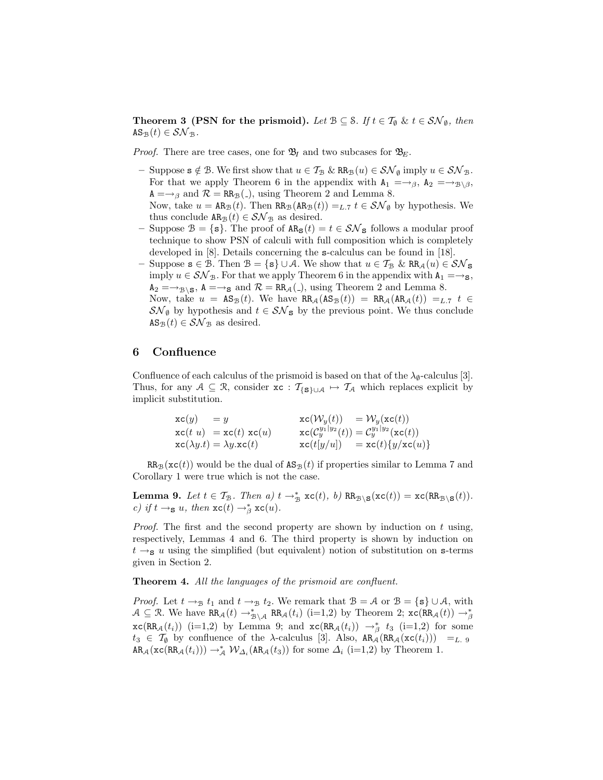**Theorem 3 (PSN for the prismoid).** *Let*  $B \subseteq S$ *. If*  $t \in \mathcal{T}_{\emptyset}$  &  $t \in \mathcal{SN}_{\emptyset}$ *, then*  $AS_{\mathcal{B}}(t) \in \mathcal{SN}_{\mathcal{B}}$ .

*Proof.* There are tree cases, one for  $\mathfrak{B}_I$  and two subcases for  $\mathfrak{B}_E$ .

- Suppose  $s \notin \mathcal{B}$ . We first show that  $u \in \mathcal{T}_{\mathcal{B}} \& \mathbb{R}R_{\mathcal{B}}(u) \in \mathcal{SN}_{\emptyset}$  imply  $u \in \mathcal{SN}_{\mathcal{B}}$ . For that we apply Theorem 6 in the appendix with  $A_1 = \rightarrow_{\beta}$ ,  $A_2 = \rightarrow_{\mathcal{B}\setminus\beta}$ ,  $A = \rightarrow_{\beta}$  and  $\mathcal{R} = RR_{\beta}(.),$  using Theorem 2 and Lemma 8. Now, take  $u = AR_B(t)$ . Then  $RR_B(AR_B(t)) =_{L.7} t \in \mathcal{SN}_{\emptyset}$  by hypothesis. We
- thus conclude  $AR_{\mathcal{B}}(t) \in \mathcal{SN}_{\mathcal{B}}$  as desired. – Suppose  $\mathcal{B} = \{\mathbf{s}\}\$ . The proof of  $AR_{\mathbf{s}}(t) = t \in \mathcal{SN}_{\mathbf{s}}$  follows a modular proof
- technique to show PSN of calculi with full composition which is completely developed in [8]. Details concerning the **s**-calculus can be found in [18].
- Suppose  $\mathbf{s} \in \mathcal{B}$ . Then  $\mathcal{B} = \{\mathbf{s}\}\cup\mathcal{A}$ . We show that  $u \in \mathcal{T}_{\mathcal{B}}$  & RR<sub>A</sub> $(u) \in \mathcal{SN}_{\mathbf{S}}$ imply  $u \in S\mathcal{N}_{\mathcal{B}}$ . For that we apply Theorem 6 in the appendix with  $A_1 = \rightarrow_S$ ,  $A_2 = \rightarrow_{\mathcal{B}} S$ ,  $A = \rightarrow_S$  and  $\mathcal{R} = RR_A(.)$ , using Theorem 2 and Lemma 8. Now, take  $u = \text{AS}_{\mathcal{B}}(t)$ . We have  $\text{RR}_{\mathcal{A}}(\text{AS}_{\mathcal{B}}(t)) = \text{RR}_{\mathcal{A}}(\text{AR}_{\mathcal{A}}(t)) =_{L.7} t \in$  $\mathcal{SN}_{\emptyset}$  by hypothesis and  $t \in \mathcal{SN}_{\mathbf{S}}$  by the previous point. We thus conclude  $AS_{\mathcal{B}}(t) \in \mathcal{SN}_{\mathcal{B}}$  as desired.

### 6 Confluence

Confluence of each calculus of the prismoid is based on that of the  $\lambda_{\emptyset}$ -calculus [3]. Thus, for any  $A \subseteq \mathcal{R}$ , consider  $\mathbf{xc} : \mathcal{T}_{\{\mathbf{S}\}\cup\mathcal{A}} \mapsto \mathcal{T}_{\mathcal{A}}$  which replaces explicit by implicit substitution.

| $xc(y) = y$ |                                                                      | $\operatorname{xc}(\mathcal{W}_y(t)) = \mathcal{W}_y(\operatorname{xc}(t))$   |
|-------------|----------------------------------------------------------------------|-------------------------------------------------------------------------------|
|             | $\operatorname{xc}(t\ u) = \operatorname{xc}(t)\operatorname{xc}(u)$ | $xc(\mathcal{C}_y^{y_1 y_2}(t)) = \mathcal{C}_y^{y_1 y_2}(xc(t))$             |
|             | $\mathrm{xc}(\lambda y.t) = \lambda y.\mathrm{xc}(t)$                | $\operatorname{xc}(t[y/u]) = \operatorname{xc}(t)\{y/\operatorname{xc}(u)\}\$ |

 $RR_B(\mathbf{xc}(t))$  would be the dual of  $AS_B(t)$  if properties similar to Lemma 7 and Corollary 1 were true which is not the case.

**Lemma 9.** Let  $t \in \mathcal{T}_{\mathcal{B}}$ . Then  $a)$   $t \to_{\mathcal{B}}^*$   $\mathbf{xc}(t)$ ,  $b)$  RR<sub>B\S</sub>( $\mathbf{xc}(t)$ ) =  $\mathbf{xc}(RR_{\mathcal{B}\setminus\mathbf{S}}(t))$ . *c)* if  $t \to s$  u, then  $\operatorname{xc}(t) \to s$   $\operatorname{xc}(u)$ .

*Proof.* The first and the second property are shown by induction on t using, respectively, Lemmas 4 and 6. The third property is shown by induction on  $t \rightarrow$ s u using the simplified (but equivalent) notion of substitution on s-terms given in Section 2.

#### Theorem 4. *All the languages of the prismoid are confluent.*

*Proof.* Let  $t \to_B t_1$  and  $t \to_B t_2$ . We remark that  $B = A$  or  $B = \{s\} \cup A$ , with  $A \subseteq \mathcal{R}$ . We have  $RR_{\mathcal{A}}(t) \rightarrow_{\mathcal{B} \setminus \mathcal{A}}^* RR_{\mathcal{A}}(t_i)$  (i=1,2) by Theorem 2;  $xc(RR_{\mathcal{A}}(t)) \rightarrow_{\beta}^*$  $xc(RR_A(t_i))$  (i=1,2) by Lemma 9; and  $xc(RR_A(t_i)) \rightarrow^*_{\beta} t_3$  (i=1,2) for some  $t_3 \in \mathcal{T}_{\emptyset}$  by confluence of the  $\lambda$ -calculus [3]. Also,  $AR_{\mathcal{A}}(RR_{\mathcal{A}}(\mathbf{xc}(t_i))) = L$ . 9  $AR_{\mathcal{A}}(\text{xc}(RR_{\mathcal{A}}(t_i))) \rightarrow^*_{\mathcal{A}} \mathcal{W}_{\Delta_i}(AR_{\mathcal{A}}(t_3))$  for some  $\Delta_i$  (i=1,2) by Theorem 1.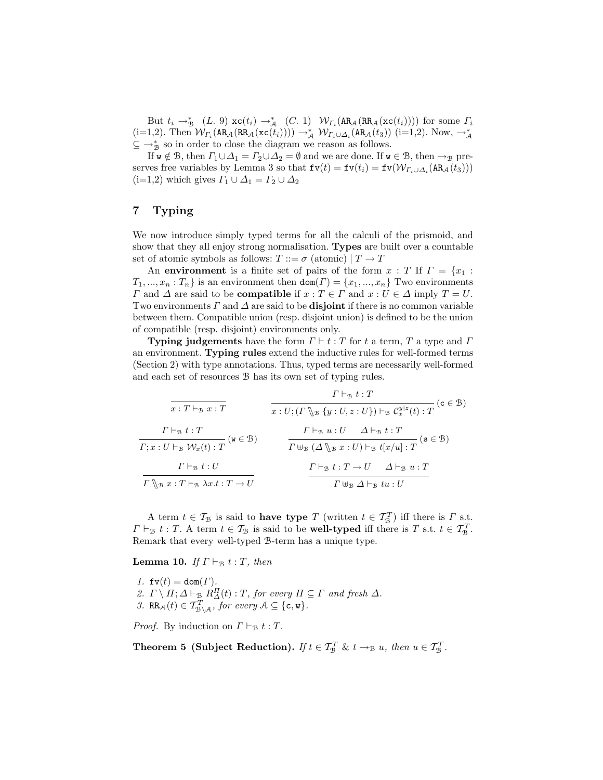But  $t_i \to_{\mathcal{B}}^*$  (L. 9)  $\operatorname{xc}(t_i) \to_{\mathcal{A}}^*$  (C. 1)  $\mathcal{W}_{\Gamma_i}(\operatorname{AR}_{\mathcal{A}}(\operatorname{RR}_{\mathcal{A}}(\operatorname{xc}(t_i))))$  for some  $\Gamma_i$  $(i=1,2)$ . Then  $W_{\Gamma_i}(\text{AR}_{\mathcal{A}}(\text{RR}_{\mathcal{A}}(\text{xc}(t_i)))) \rightarrow^*_{\mathcal{A}} W_{\Gamma_i \cup \Delta_i}(\text{AR}_{\mathcal{A}}(t_3))$   $(i=1,2)$ . Now,  $\rightarrow^*_{\mathcal{A}}$  $\subseteq \rightarrow_{\mathcal{B}}^*$  so in order to close the diagram we reason as follows.

If  $w \notin \mathcal{B}$ , then  $\Gamma_1 \cup \Delta_1 = \Gamma_2 \cup \Delta_2 = \emptyset$  and we are done. If  $w \in \mathcal{B}$ , then  $\rightarrow_{\mathcal{B}}$  preserves free variables by Lemma 3 so that  $f(v(t) = f(v(t_i) = f(v(W_{\Gamma_i \cup \Delta_i}(AR_{\mathcal{A}}(t_3))))$  $(i=1,2)$  which gives  $\Gamma_1 \cup \Delta_1 = \Gamma_2 \cup \Delta_2$ 

### 7 Typing

We now introduce simply typed terms for all the calculi of the prismoid, and show that they all enjoy strong normalisation. Types are built over a countable set of atomic symbols as follows:  $T ::= \sigma$  (atomic)  $|T \to T$ 

An environment is a finite set of pairs of the form  $x : T$  If  $\Gamma = \{x_1 :$  $T_1, ..., x_n : T_n$  is an environment then  $\text{dom}(\Gamma) = \{x_1, ..., x_n\}$  Two environments  $\Gamma$  and  $\Delta$  are said to be **compatible** if  $x : T \in \Gamma$  and  $x : U \in \Delta$  imply  $T = U$ . Two environments  $\Gamma$  and  $\Delta$  are said to be **disjoint** if there is no common variable between them. Compatible union (resp. disjoint union) is defined to be the union of compatible (resp. disjoint) environments only.

**Typing judgements** have the form  $\Gamma \vdash t : T$  for t a term, T a type and  $\Gamma$ an environment. Typing rules extend the inductive rules for well-formed terms (Section 2) with type annotations. Thus, typed terms are necessarily well-formed and each set of resources B has its own set of typing rules.

$$
\frac{\Gamma \vdash_{\mathfrak{B}} t : T}{x : T \vdash_{\mathfrak{B}} x : T}
$$
\n
$$
\frac{\Gamma \vdash_{\mathfrak{B}} t : T}{x : U; (\Gamma \setminus_{\mathfrak{B}} \{y : U, z : U\}) \vdash_{\mathfrak{B}} C_x^{y|z}(t) : T} (\mathfrak{c} \in \mathfrak{B})
$$
\n
$$
\frac{\Gamma \vdash_{\mathfrak{B}} t : T}{\Gamma; x : U \vdash_{\mathfrak{B}} \mathcal{W}_x(t) : T} (\mathfrak{w} \in \mathfrak{B})
$$
\n
$$
\frac{\Gamma \vdash_{\mathfrak{B}} u : U \quad \Delta \vdash_{\mathfrak{B}} t : T}{\Gamma \biguplus_{\mathfrak{B}} (\Delta \setminus_{\mathfrak{B}} x : U) \vdash_{\mathfrak{B}} t [x/u] : T} (\mathfrak{s} \in \mathfrak{B})
$$
\n
$$
\frac{\Gamma \vdash_{\mathfrak{B}} t : U}{\Gamma \biguplus_{\mathfrak{B}} x : T \vdash_{\mathfrak{B}} \lambda x : t : T \to U} \qquad \frac{\Gamma \vdash_{\mathfrak{B}} t : T \to U \quad \Delta \vdash_{\mathfrak{B}} u : T}{\Gamma \biguplus_{\mathfrak{B}} \Delta \vdash_{\mathfrak{B}} t : U}
$$

A term  $t \in \mathcal{T}_{\mathcal{B}}$  is said to **have type** T (written  $t \in \mathcal{T}_{\mathcal{B}}^T$ ) iff there is  $\Gamma$  s.t.  $\Gamma \vdash_{\mathcal{B}} t : T$ . A term  $t \in \mathcal{T}_{\mathcal{B}}$  is said to be well-typed iff there is T s.t.  $t \in \mathcal{T}_{\mathcal{B}}^T$ . Remark that every well-typed B-term has a unique type.

**Lemma 10.** *If*  $\Gamma \vdash_{\mathcal{B}} t : T$ *, then* 

*1.*  $f(v(t)) = dom(\Gamma)$ . 2.  $\Gamma \setminus \Pi; \Delta \vdash_{\mathcal{B}} R_{\Delta}^{\Pi}(t) : T$ , for every  $\Pi \subseteq \Gamma$  and fresh  $\Delta$ . 3. RR<sub>A</sub>(t)  $\in T_{\mathcal{B}\backslash\mathcal{A}}^T$ , for every  $\mathcal{A} \subseteq \{\mathsf{c},\mathsf{w}\}.$ 

*Proof.* By induction on  $\Gamma \vdash_{\mathcal{B}} t : T$ .

Theorem 5 (Subject Reduction). *If*  $t \in \mathcal{T}_B^T$  &  $t \to_{\mathcal{B}} u$ , then  $u \in \mathcal{T}_B^T$ .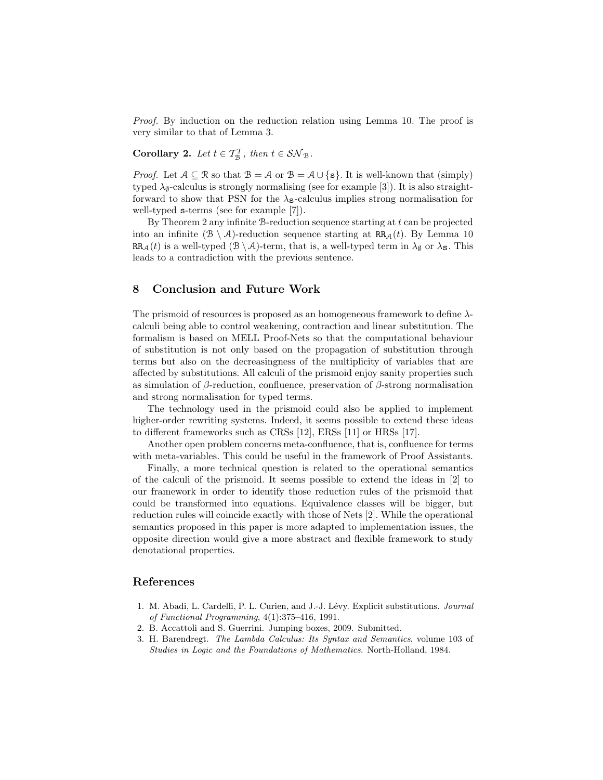*Proof.* By induction on the reduction relation using Lemma 10. The proof is very similar to that of Lemma 3.

**Corollary 2.** Let  $t \in \mathcal{T}_{\mathcal{B}}^T$ , then  $t \in \mathcal{SN}_{\mathcal{B}}$ .

*Proof.* Let  $A \subseteq \mathcal{R}$  so that  $B = A$  or  $B = A \cup \{s\}$ . It is well-known that (simply) typed  $\lambda_{\emptyset}$ -calculus is strongly normalising (see for example [3]). It is also straightforward to show that PSN for the  $\lambda_{\mathbf{S}}$ -calculus implies strong normalisation for well-typed s-terms (see for example [7]).

By Theorem 2 any infinite  $B$ -reduction sequence starting at  $t$  can be projected into an infinite  $(\mathcal{B} \setminus \mathcal{A})$ -reduction sequence starting at RR<sub>A</sub>(t). By Lemma 10  $RR_A(t)$  is a well-typed  $(\mathcal{B} \setminus \mathcal{A})$ -term, that is, a well-typed term in  $\lambda_{\emptyset}$  or  $\lambda_{\mathbf{S}}$ . This leads to a contradiction with the previous sentence.

### 8 Conclusion and Future Work

The prismoid of resources is proposed as an homogeneous framework to define  $\lambda$ calculi being able to control weakening, contraction and linear substitution. The formalism is based on MELL Proof-Nets so that the computational behaviour of substitution is not only based on the propagation of substitution through terms but also on the decreasingness of the multiplicity of variables that are affected by substitutions. All calculi of the prismoid enjoy sanity properties such as simulation of  $\beta$ -reduction, confluence, preservation of  $\beta$ -strong normalisation and strong normalisation for typed terms.

The technology used in the prismoid could also be applied to implement higher-order rewriting systems. Indeed, it seems possible to extend these ideas to different frameworks such as CRSs [12], ERSs [11] or HRSs [17].

Another open problem concerns meta-confluence, that is, confluence for terms with meta-variables. This could be useful in the framework of Proof Assistants.

Finally, a more technical question is related to the operational semantics of the calculi of the prismoid. It seems possible to extend the ideas in [2] to our framework in order to identify those reduction rules of the prismoid that could be transformed into equations. Equivalence classes will be bigger, but reduction rules will coincide exactly with those of Nets [2]. While the operational semantics proposed in this paper is more adapted to implementation issues, the opposite direction would give a more abstract and flexible framework to study denotational properties.

### References

- 1. M. Abadi, L. Cardelli, P. L. Curien, and J.-J. Lévy. Explicit substitutions. Journal of Functional Programming, 4(1):375–416, 1991.
- 2. B. Accattoli and S. Guerrini. Jumping boxes, 2009. Submitted.
- 3. H. Barendregt. The Lambda Calculus: Its Syntax and Semantics, volume 103 of Studies in Logic and the Foundations of Mathematics. North-Holland, 1984.